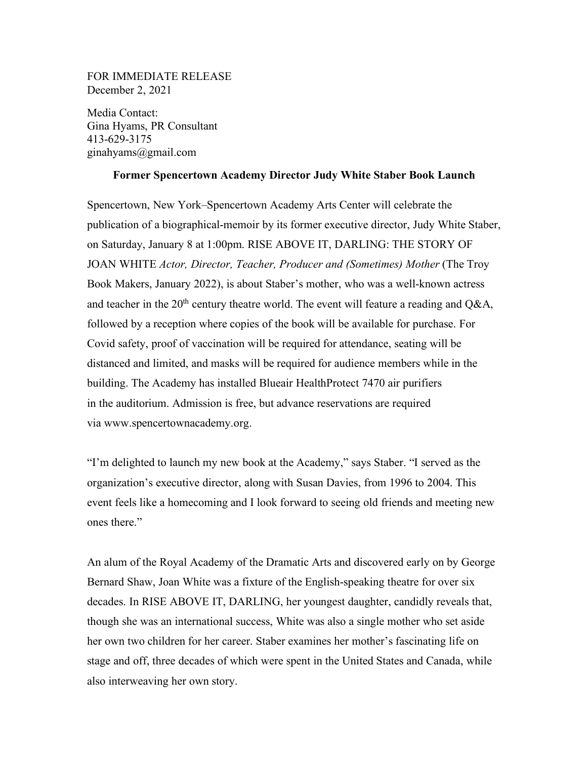## FOR IMMEDIATE RELEASE December 2, 2021

Media Contact: Gina Hyams, PR Consultant 413-629-3175 ginahyams@gmail.com

## **Former Spencertown Academy Director Judy White Staber Book Launch**

Spencertown, New York–Spencertown Academy Arts Center will celebrate the publication of a biographical-memoir by its former executive director, Judy White Staber, on Saturday, January 8 at 1:00pm. RISE ABOVE IT, DARLING: THE STORY OF JOAN WHITE *Actor, Director, Teacher, Producer and (Sometimes) Mother* (The Troy Book Makers, January 2022), is about Staber's mother, who was a well-known actress and teacher in the  $20<sup>th</sup>$  century theatre world. The event will feature a reading and Q&A, followed by a reception where copies of the book will be available for purchase. For Covid safety, proof of vaccination will be required for attendance, seating will be distanced and limited, and masks will be required for audience members while in the building. The Academy has installed Blueair HealthProtect 7470 air purifiers in the auditorium. Admission is free, but advance reservations are required via www.spencertownacademy.org.

"I'm delighted to launch my new book at the Academy," says Staber. "I served as the organization's executive director, along with Susan Davies, from 1996 to 2004. This event feels like a homecoming and I look forward to seeing old friends and meeting new ones there."

An alum of the Royal Academy of the Dramatic Arts and discovered early on by George Bernard Shaw, Joan White was a fixture of the English-speaking theatre for over six decades. In RISE ABOVE IT, DARLING, her youngest daughter, candidly reveals that, though she was an international success, White was also a single mother who set aside her own two children for her career. Staber examines her mother's fascinating life on stage and off, three decades of which were spent in the United States and Canada, while also interweaving her own story.